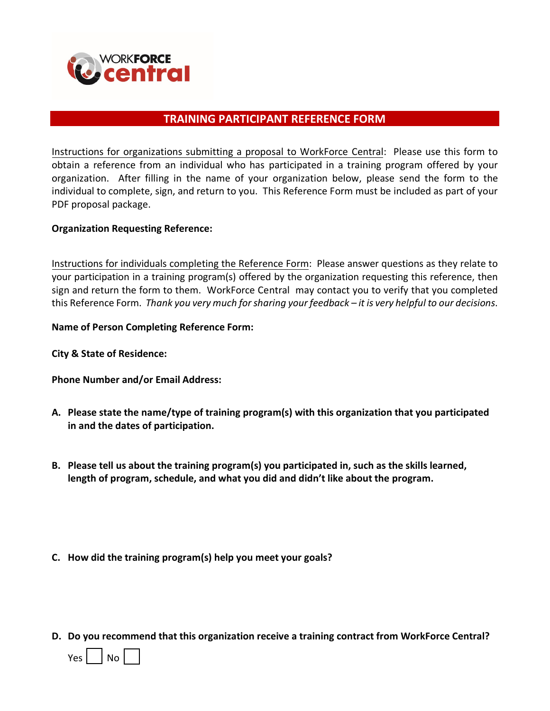

## **TRAINING PARTICIPANT REFERENCE FORM**

Instructions for organizations submitting a proposal to WorkForce Central: Please use this form to obtain a reference from an individual who has participated in a training program offered by your organization. After filling in the name of your organization below, please send the form to the individual to complete, sign, and return to you. This Reference Form must be included as part of your PDF proposal package.

## **Organization Requesting Reference:**

Instructions for individuals completing the Reference Form: Please answer questions as they relate to your participation in a training program(s) offered by the organization requesting this reference, then sign and return the form to them. WorkForce Central may contact you to verify that you completed this Reference Form. *Thank you very much for sharing your feedback – it is very helpful to our decisions*.

## **Name of Person Completing Reference Form:**

**City & State of Residence:**

**Phone Number and/or Email Address:** 

- **A. Please state the name/type of training program(s) with this organization that you participated in and the dates of participation.**
- **B. Please tell us about the training program(s) you participated in, such as the skills learned, length of program, schedule, and what you did and didn't like about the program.**
- **C. How did the training program(s) help you meet your goals?**
- **D. Do you recommend that this organization receive a training contract from WorkForce Central?**

 $Yes \mid \text{No} \mid$